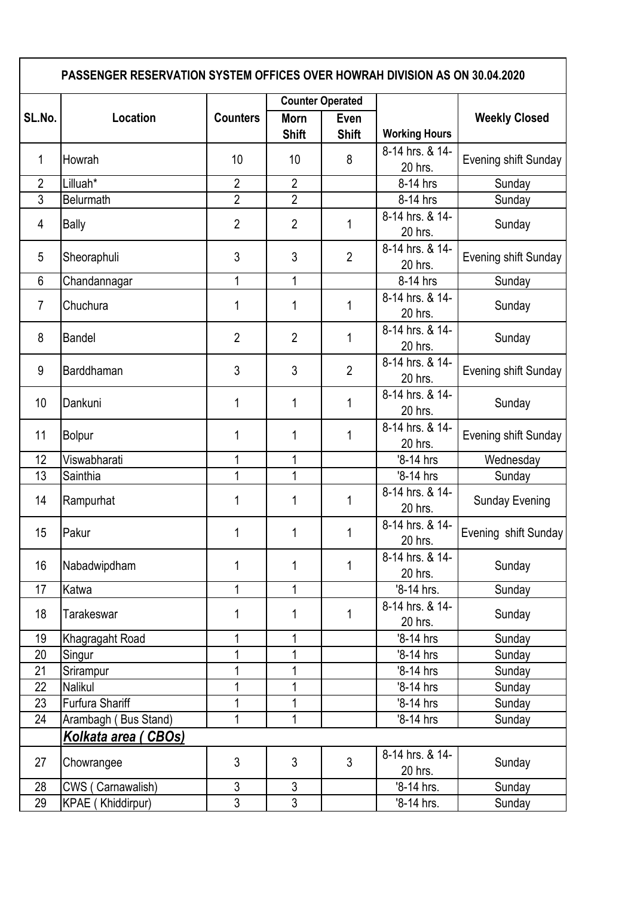| <b>PASSENGER RESERVATION SYSTEM OFFICES OVER HOWRAH DIVISION AS ON 30.04.2020</b> |                          |                 |                             |                      |                            |                       |  |  |  |
|-----------------------------------------------------------------------------------|--------------------------|-----------------|-----------------------------|----------------------|----------------------------|-----------------------|--|--|--|
|                                                                                   | Location                 | <b>Counters</b> | <b>Counter Operated</b>     |                      |                            |                       |  |  |  |
| SL.No.                                                                            |                          |                 | <b>Morn</b><br><b>Shift</b> | Even<br><b>Shift</b> | <b>Working Hours</b>       | <b>Weekly Closed</b>  |  |  |  |
| 1                                                                                 | Howrah                   | 10              | 10                          | 8                    | 8-14 hrs. & 14-<br>20 hrs. | Evening shift Sunday  |  |  |  |
| $\overline{2}$                                                                    | Lilluah*                 | $\overline{2}$  | $\overline{2}$              |                      | 8-14 hrs                   | Sunday                |  |  |  |
| 3                                                                                 | <b>Belurmath</b>         | $\overline{2}$  | $\overline{2}$              |                      | 8-14 hrs                   | Sunday                |  |  |  |
| 4                                                                                 | <b>Bally</b>             | $\overline{2}$  | $\overline{2}$              | 1                    | 8-14 hrs. & 14-<br>20 hrs. | Sunday                |  |  |  |
| 5                                                                                 | Sheoraphuli              | 3               | 3                           | $\overline{2}$       | 8-14 hrs. & 14-<br>20 hrs. | Evening shift Sunday  |  |  |  |
| $6\phantom{1}$                                                                    | Chandannagar             | 1               | 1                           |                      | 8-14 hrs                   | Sunday                |  |  |  |
| $\overline{7}$                                                                    | Chuchura                 | 1               | 1                           | 1                    | 8-14 hrs. & 14-<br>20 hrs. | Sunday                |  |  |  |
| 8                                                                                 | <b>Bandel</b>            | $\overline{2}$  | $\overline{2}$              | 1                    | 8-14 hrs. & 14-<br>20 hrs. | Sunday                |  |  |  |
| 9                                                                                 | Barddhaman               | 3               | 3                           | $\overline{2}$       | 8-14 hrs. & 14-<br>20 hrs. | Evening shift Sunday  |  |  |  |
| 10                                                                                | Dankuni                  | 1               | 1                           | 1                    | 8-14 hrs. & 14-<br>20 hrs. | Sunday                |  |  |  |
| 11                                                                                | <b>Bolpur</b>            | 1               | 1                           | 1                    | 8-14 hrs. & 14-<br>20 hrs. | Evening shift Sunday  |  |  |  |
| 12                                                                                | Viswabharati             | 1               | 1                           |                      | '8-14 hrs                  | Wednesday             |  |  |  |
| 13                                                                                | Sainthia                 | 1               | 1                           |                      | '8-14 hrs                  | Sunday                |  |  |  |
| 14                                                                                | Rampurhat                | 1               | 1                           | 1                    | 8-14 hrs. & 14-<br>20 hrs. | <b>Sunday Evening</b> |  |  |  |
| 15                                                                                | Pakur                    | 1               | 1                           | 1                    | 8-14 hrs. & 14-<br>20 hrs. | Evening shift Sunday  |  |  |  |
| 16                                                                                | Nabadwipdham             | 1               | 1                           | 1                    | 8-14 hrs. & 14-<br>20 hrs. | Sunday                |  |  |  |
| 17                                                                                | Katwa                    | $\mathbf 1$     | $\mathbf 1$                 |                      | '8-14 hrs.                 | Sunday                |  |  |  |
| 18                                                                                | Tarakeswar               | 1               | 1                           | 1                    | 8-14 hrs. & 14-<br>20 hrs. | Sunday                |  |  |  |
| 19                                                                                | Khagragaht Road          | 1               | 1                           |                      | '8-14 hrs                  | Sunday                |  |  |  |
| 20                                                                                | Singur                   | 1               | 1                           |                      | '8-14 hrs                  | Sunday                |  |  |  |
| 21                                                                                | Srirampur                | 1               | 1                           |                      | '8-14 hrs                  | Sunday                |  |  |  |
| 22                                                                                | Nalikul                  | 1               | 1                           |                      | '8-14 hrs                  | Sunday                |  |  |  |
| 23                                                                                | Furfura Shariff          | 1               | 1                           |                      | '8-14 hrs                  | Sunday                |  |  |  |
| 24                                                                                | Arambagh (Bus Stand)     | 1               | 1                           |                      | '8-14 hrs                  | Sunday                |  |  |  |
|                                                                                   | Kolkata area ( CBOs)     |                 |                             |                      |                            |                       |  |  |  |
| 27                                                                                | Chowrangee               | 3               | $\mathfrak{S}$              | $\overline{3}$       | 8-14 hrs. & 14-<br>20 hrs. | Sunday                |  |  |  |
| 28                                                                                | CWS (Carnawalish)        | 3               | 3                           |                      | '8-14 hrs.                 | Sunday                |  |  |  |
| 29                                                                                | <b>KPAE</b> (Khiddirpur) | $\overline{3}$  | $\overline{3}$              |                      | '8-14 hrs.                 | Sunday                |  |  |  |